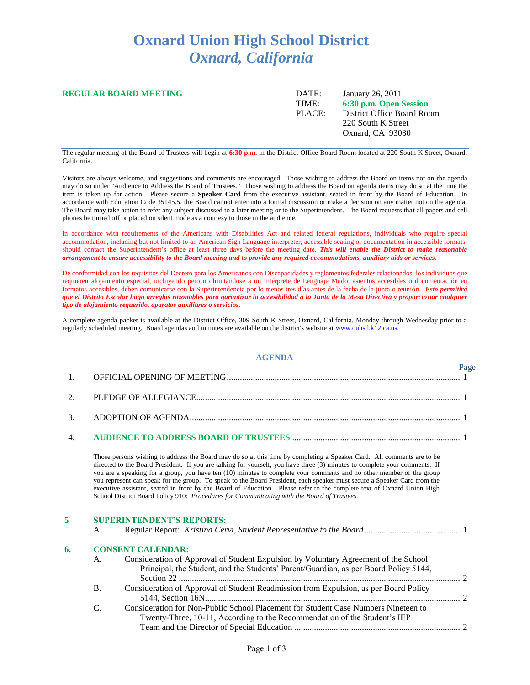## **Oxnard Union High School District** *Oxnard, California*

| <b>REGULAR BOARD MEETING</b> | DATE:  | January 26, 2011           |
|------------------------------|--------|----------------------------|
|                              | TIME:  | 6:30 p.m. Open Session     |
|                              | PLACE: | District Office Board Room |
|                              |        | 220 South K Street         |
|                              |        | Oxnard, CA 93030           |
|                              |        |                            |

The regular meeting of the Board of Trustees will begin at **6:30 p.m.** in the District Office Board Room located at 220 South K Street, Oxnard, California.

Visitors are always welcome, and suggestions and comments are encouraged. Those wishing to address the Board on items not on the agenda may do so under "Audience to Address the Board of Trustees." Those wishing to address the Board on agenda items may do so at the time the item is taken up for action. Please secure a **Speaker Card** from the executive assistant, seated in front by the Board of Education. In accordance with Education Code 35145.5, the Board cannot enter into a formal discussion or make a decision on any matter not on the agenda. The Board may take action to refer any subject discussed to a later meeting or to the Superintendent. The Board requests that all pagers and cell phones be turned off or placed on silent mode as a courtesy to those in the audience.

In accordance with requirements of the Americans with Disabilities Act and related federal regulations, individuals who require special accommodation, including but not limited to an American Sign Language interpreter, accessible seating or documentation in accessible formats, should contact the Superintendent's office at least three days before the meeting date. *This will enable the District to make reasonable arrangement to ensure accessibility to the Board meeting and to provide any required accommodations, auxiliary aids or services.*

De conformidad con los requisitos del Decreto para los Americanos con Discapacidades y reglamentos federales relacionados, los individuos que requieren alojamiento especial, incluyendo pero no limitándose a un Intérprete de Lenguaje Mudo, asientos accesibles o documentación en formatos accesibles, deben comunicarse con la Superintendencia por lo menos tres días antes de la fecha de la junta o reunión. *Esto permitirá que el Distrito Escolar haga arreglos razonables para garantizar la accesibilidad a la Junta de la Mesa Directiva y proporcionar cualquier tipo de alojamiento requerido, aparatos auxiliares o servicios.*

A complete agenda packet is available at the District Office, 309 South K Street, Oxnard, California, Monday through Wednesday prior to a regularly scheduled meeting. Board agendas and minutes are available on the district's website at [www.ouhsd.k12.ca.us.](http://www.ouhsd.k12.ca.us/)

## **AGENDA**

 $D<sub>2</sub>$ 

| 1. |           |                                                                                                                                                                                                                                                                                                                                                                                                                                                                                                                                                                                                                                                                                                                                  | 1 agu |  |  |  |
|----|-----------|----------------------------------------------------------------------------------------------------------------------------------------------------------------------------------------------------------------------------------------------------------------------------------------------------------------------------------------------------------------------------------------------------------------------------------------------------------------------------------------------------------------------------------------------------------------------------------------------------------------------------------------------------------------------------------------------------------------------------------|-------|--|--|--|
| 2. |           |                                                                                                                                                                                                                                                                                                                                                                                                                                                                                                                                                                                                                                                                                                                                  |       |  |  |  |
| 3. |           |                                                                                                                                                                                                                                                                                                                                                                                                                                                                                                                                                                                                                                                                                                                                  |       |  |  |  |
| 4. |           |                                                                                                                                                                                                                                                                                                                                                                                                                                                                                                                                                                                                                                                                                                                                  |       |  |  |  |
|    |           | Those persons wishing to address the Board may do so at this time by completing a Speaker Card. All comments are to be<br>directed to the Board President. If you are talking for yourself, you have three (3) minutes to complete your comments. If<br>you are a speaking for a group, you have ten (10) minutes to complete your comments and no other member of the group<br>you represent can speak for the group. To speak to the Board President, each speaker must secure a Speaker Card from the<br>executive assistant, seated in front by the Board of Education. Please refer to the complete text of Oxnard Union High<br>School District Board Policy 910: Procedures for Communicating with the Board of Trustees. |       |  |  |  |
| 5  |           | <b>SUPERINTENDENT'S REPORTS:</b>                                                                                                                                                                                                                                                                                                                                                                                                                                                                                                                                                                                                                                                                                                 |       |  |  |  |
|    | A.        |                                                                                                                                                                                                                                                                                                                                                                                                                                                                                                                                                                                                                                                                                                                                  |       |  |  |  |
| 6. |           | <b>CONSENT CALENDAR:</b>                                                                                                                                                                                                                                                                                                                                                                                                                                                                                                                                                                                                                                                                                                         |       |  |  |  |
|    | A.        | Consideration of Approval of Student Expulsion by Voluntary Agreement of the School<br>Principal, the Student, and the Students' Parent/Guardian, as per Board Policy 5144,                                                                                                                                                                                                                                                                                                                                                                                                                                                                                                                                                      |       |  |  |  |
|    | <b>B.</b> | Consideration of Approval of Student Readmission from Expulsion, as per Board Policy                                                                                                                                                                                                                                                                                                                                                                                                                                                                                                                                                                                                                                             |       |  |  |  |
|    |           |                                                                                                                                                                                                                                                                                                                                                                                                                                                                                                                                                                                                                                                                                                                                  |       |  |  |  |

C. Consideration for Non-Public School Placement for Student Case Numbers Nineteen to Twenty-Three, 10-11, According to the Recommendation of the Student's IEP Team and the Director of Special Education ............................................................................ 2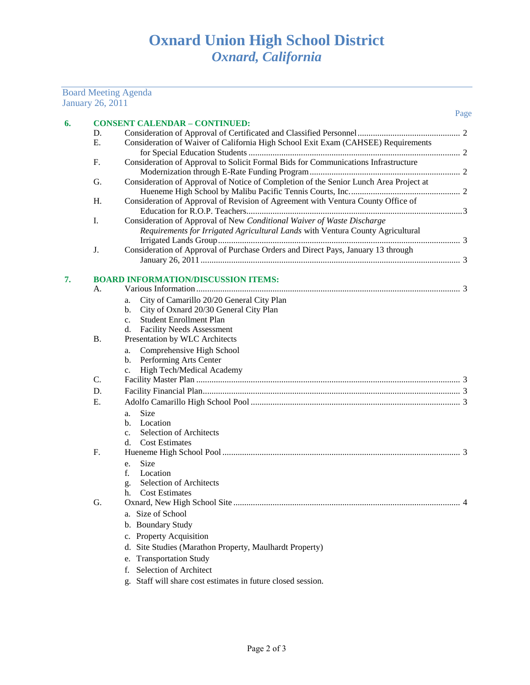## January 26, 2011 Page **6. CONSENT CALENDAR – CONTINUED:** D. Consideration of Approval of Certificated and Classified Personnel............................................... 2 E. Consideration of Waiver of California High School Exit Exam (CAHSEE) Requirements for Special Education Students ................................................................................................. 2 F. Consideration of Approval to Solicit Formal Bids for Communications Infrastructure Modernization through E-Rate Funding Program..................................................................... 2 G. Consideration of Approval of Notice of Completion of the Senior Lunch Area Project at Hueneme High School by Malibu Pacific Tennis Courts, Inc................................................... 2 H. Consideration of Approval of Revision of Agreement with Ventura County Office of Education for R.O.P. Teachers...................................................................................................3 I. Consideration of Approval of New *Conditional Waiver of Waste Discharge Requirements for Irrigated Agricultural Lands* with Ventura County Agricultural Irrigated Lands Group............................................................................................................... 3 J. Consideration of Approval of Purchase Orders and Direct Pays, January 13 through January 26, 2011 ....................................................................................................................... 3 **7. BOARD INFORMATION/DISCUSSION ITEMS:** A. Various Information ......................................................................................................................... 3 a. City of Camarillo 20/20 General City Plan b. City of Oxnard 20/30 General City Plan c. Student Enrollment Plan d. Facility Needs Assessment B. Presentation by WLC Architects a. Comprehensive High School b. Performing Arts Center c. High Tech/Medical Academy C. Facility Master Plan ......................................................................................................................... 3 D. Facility Financial Plan...................................................................................................................... 3 E. Adolfo Camarillo High School Pool ................................................................................................ 3 a. Size b. Location c. Selection of Architects d. Cost Estimates F. Hueneme High School Pool ............................................................................................................. 3 e. Size f. Location g. Selection of Architects h. Cost Estimates G. Oxnard, New High School Site ........................................................................................................ 4 a. Size of School b. Boundary Study c. Property Acquisition d. Site Studies (Marathon Property, Maulhardt Property) e. Transportation Study

f. Selection of Architect

Board Meeting Agenda

g. Staff will share cost estimates in future closed session.